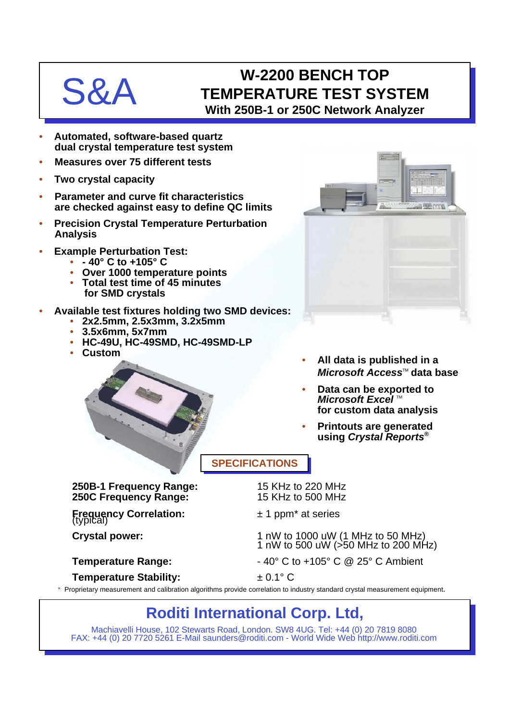# S&A

# **W-2200 BENCH TOP TEMPERATURE TEST SYSTEM With 250B-1 or 250C Network Analyzer**

- **Automated, software-based quartz dual crystal temperature test system**
- **Measures over 75 different tests**
- **Two crystal capacity**
- **Parameter and curve fit characteristics are checked against easy to define QC limits**
- **Precision Crystal Temperature Perturbation Analysis**
- **Example Perturbation Test:**
	- **40° C to +105° C**
	- **Over 1000 temperature points**
	- **Total test time of 45 minutes for SMD crystals**
- **Available test fixtures holding two SMD devices:**
	- **2x2.5mm, 2.5x3mm, 3.2x5mm**
	- **3.5x6mm, 5x7mm**
	- **HC-49U, HC-49SMD, HC-49SMD-LP**
	- **Custom**



- **All data is published in a** *Microsoft Access*™ data base
- **Data can be exported to** *Microsoft Excel* ™ **for custom data analysis**
- **Printouts are generated using** *Crystal Reports***®**

## **SPECIFICATIONS**

**250B-1 Frequency Range:** 15 KHz to 220 MHz **250C Frequency Range:** 

**Frequency Correlation:**  $\pm 1$  ppm<sup>\*</sup> at series (typical)

Crystal power: 1 nW to 1000 uW (1 MHz to 50 MHz) 1 nW to 500 uW (>50 MHz to 200 MHz)

**Temperature Range:**  $-40^{\circ}$  C to  $+105^{\circ}$  C @ 25° C Ambient

**Temperature Stability:** ± 0.1° C

\* Proprietary measurement and calibration algorithms provide correlation to industry standard crystal measurement equipment.

# **Roditi International Corp. Ltd,**

Machiavelli House, 102 Stewarts Road, London. SW8 4UG. Tel: +44 (0) 20 7819 8080 FAX: +44 (0) 20 7720 5261 E-Mail saunders@roditi.com - World Wide Web http://www.roditi.com